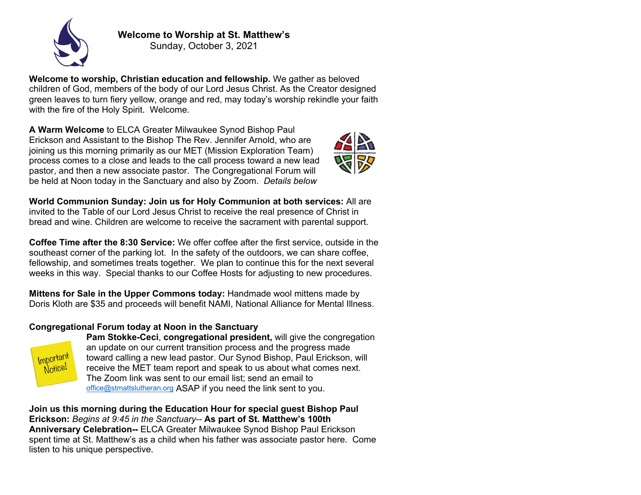

**Welcome to Worship at St. Matthew's** Sunday, October 3, 2021

**Welcome to worship, Christian education and fellowship.** We gather as beloved children of God, members of the body of our Lord Jesus Christ. As the Creator designed green leaves to turn fiery yellow, orange and red, may today's worship rekindle your faith with the fire of the Holy Spirit. Welcome.

**A Warm Welcome** to ELCA Greater Milwaukee Synod Bishop Paul Erickson and Assistant to the Bishop The Rev. Jennifer Arnold, who are joining us this morning primarily as our MET (Mission Exploration Team) process comes to a close and leads to the call process toward a new lead pastor, and then a new associate pastor. The Congregational Forum will be held at Noon today in the Sanctuary and also by Zoom. *Details below*



**World Communion Sunday: Join us for Holy Communion at both services:** All are invited to the Table of our Lord Jesus Christ to receive the real presence of Christ in bread and wine. Children are welcome to receive the sacrament with parental support.

**Coffee Time after the 8:30 Service:** We offer coffee after the first service, outside in the southeast corner of the parking lot. In the safety of the outdoors, we can share coffee, fellowship, and sometimes treats together. We plan to continue this for the next several weeks in this way. Special thanks to our Coffee Hosts for adjusting to new procedures.

**Mittens for Sale in the Upper Commons today:** Handmade wool mittens made by Doris Kloth are \$35 and proceeds will benefit NAMI, National Alliance for Mental Illness.

## **Congregational Forum today at Noon in the Sanctuary**



**Pam Stokke-Ceci**, **congregational president,** will give the congregation an update on our current transition process and the progress made toward calling a new lead pastor. Our Synod Bishop, Paul Erickson, will receive the MET team report and speak to us about what comes next. The Zoom link was sent to our email list; send an email to office@stmattslutheran.org ASAP if you need the link sent to you.

**Join us this morning during the Education Hour for special guest Bishop Paul Erickson:** *Begins at 9:45 in the Sanctuary--* **As part of St. Matthew's 100th Anniversary Celebration--** ELCA Greater Milwaukee Synod Bishop Paul Erickson spent time at St. Matthew's as a child when his father was associate pastor here. Come listen to his unique perspective.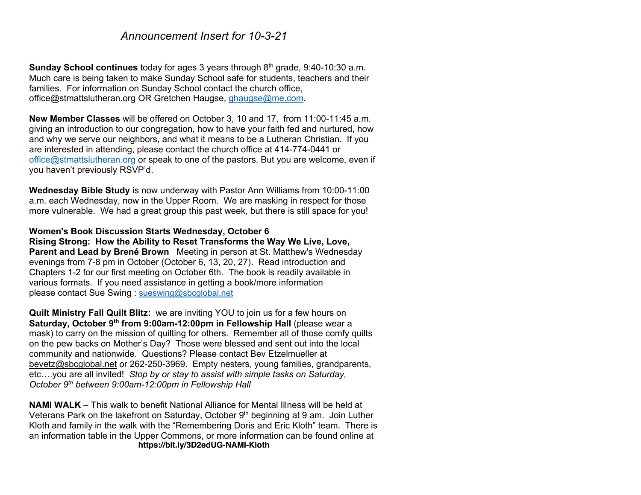# *Announcement Insert for 10-3-21*

**Sunday School continues** today for ages 3 years through 8<sup>th</sup> grade, 9:40-10:30 a.m. Much care is being taken to make Sunday School safe for students, teachers and their families. For information on Sunday School contact the church office, office@stmattslutheran.org OR Gretchen Haugse, ghaugse@me.com.

**New Member Classes** will be offered on October 3, 10 and 17, from 11:00-11:45 a.m. giving an introduction to our congregation, how to have your faith fed and nurtured, how and why we serve our neighbors, and what it means to be a Lutheran Christian. If you are interested in attending, please contact the church office at 414-774-0441 or office@stmattslutheran.org or speak to one of the pastors. But you are welcome, even if you haven't previously RSVP'd.

**Wednesday Bible Study** is now underway with Pastor Ann Williams from 10:00-11:00 a.m. each Wednesday, now in the Upper Room. We are masking in respect for those more vulnerable. We had a great group this past week, but there is still space for you!

#### **Women's Book Discussion Starts Wednesday, October 6**

**Rising Strong: How the Ability to Reset Transforms the Way We Live, Love, Parent and Lead by Brené Brown** Meeting in person at St. Matthew's Wednesday evenings from 7-8 pm in October (October 6, 13, 20, 27). Read introduction and Chapters 1-2 for our first meeting on October 6th. The book is readily available in various formats. If you need assistance in getting a book/more information please contact Sue Swing : sueswing@sbcglobal.net

**Quilt Ministry Fall Quilt Blitz:** we are inviting YOU to join us for a few hours on **Saturday, October 9th from 9:00am-12:00pm in Fellowship Hall** (please wear a mask) to carry on the mission of quilting for others. Remember all of those comfy quilts on the pew backs on Mother's Day? Those were blessed and sent out into the local community and nationwide. Questions? Please contact Bev Etzelmueller at bevetz@sbcglobal.net or 262-250-3969. Empty nesters, young families, grandparents, etc….you are all invited!*Stop by or stay to assist with simple tasks on Saturday, October 9th between 9:00am-12:00pm in Fellowship Hall*

**NAMI WALK** – This walk to benefit National Alliance for Mental Illness will be held at Veterans Park on the lakefront on Saturday, October 9<sup>th</sup> beginning at 9 am. Join Luther Kloth and family in the walk with the "Remembering Doris and Eric Kloth" team. There is an information table in the Upper Commons, or more information can be found online at **https://bit.ly/3D2edUG-NAMI-Kloth**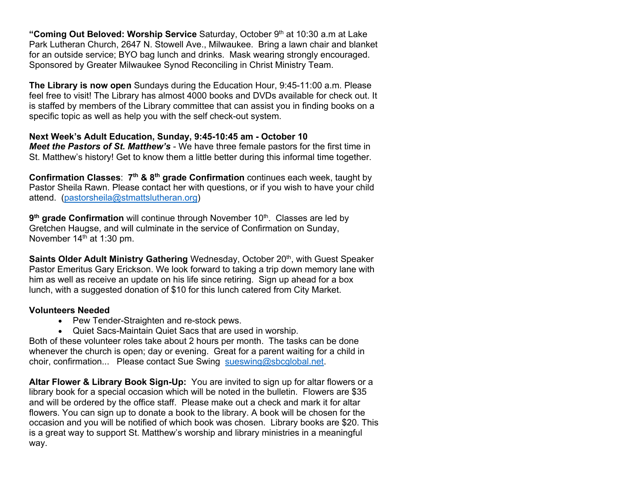"Coming Out Beloved: Worship Service Saturday, October 9<sup>th</sup> at 10:30 a.m at Lake Park Lutheran Church, 2647 N. Stowell Ave., Milwaukee. Bring a lawn chair and blanket for an outside service; BYO bag lunch and drinks. Mask wearing strongly encouraged. Sponsored by Greater Milwaukee Synod Reconciling in Christ Ministry Team.

**The Library is now open** Sundays during the Education Hour, 9:45-11:00 a.m. Please feel free to visit! The Library has almost 4000 books and DVDs available for check out. It is staffed by members of the Library committee that can assist you in finding books on a specific topic as well as help you with the self check-out system.

## **Next Week's Adult Education, Sunday, 9:45-10:45 am - October 10**

*Meet the Pastors of St. Matthew's* - We have three female pastors for the first time in St. Matthew's history! Get to know them a little better during this informal time together.

**Confirmation Classes**: **7th & 8th grade Confirmation** continues each week, taught by Pastor Sheila Rawn. Please contact her with questions, or if you wish to have your child attend. (pastorsheila@stmattslutheran.org)

**9<sup>th</sup> grade Confirmation** will continue through November 10<sup>th</sup>. Classes are led by Gretchen Haugse, and will culminate in the service of Confirmation on Sunday, November 14<sup>th</sup> at 1:30 pm.

**Saints Older Adult Ministry Gathering** Wednesday, October 20<sup>th</sup>, with Guest Speaker Pastor Emeritus Gary Erickson. We look forward to taking a trip down memory lane with him as well as receive an update on his life since retiring. Sign up ahead for a box lunch, with a suggested donation of \$10 for this lunch catered from City Market.

### **Volunteers Needed**

- Pew Tender-Straighten and re-stock pews.
- Quiet Sacs-Maintain Quiet Sacs that are used in worship.

Both of these volunteer roles take about 2 hours per month. The tasks can be done whenever the church is open; day or evening. Great for a parent waiting for a child in choir, confirmation... Please contact Sue Swing sueswing@sbcglobal.net.

**Altar Flower & Library Book Sign-Up:** You are invited to sign up for altar flowers or a library book for a special occasion which will be noted in the bulletin. Flowers are \$35 and will be ordered by the office staff. Please make out a check and mark it for altar flowers. You can sign up to donate a book to the library. A book will be chosen for the occasion and you will be notified of which book was chosen. Library books are \$20. This is a great way to support St. Matthew's worship and library ministries in a meaningful way.